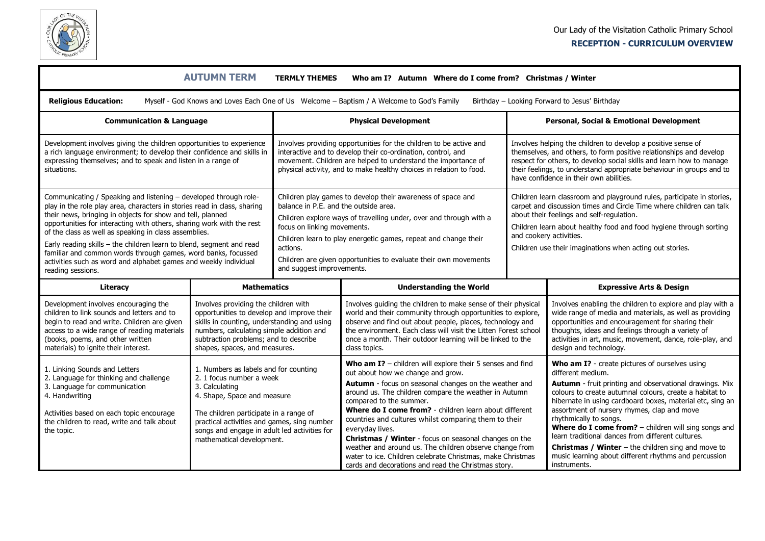

## **RECEPTION - CURRICULUM OVERVIEW**

| <b>AUTUMN TERM</b><br><b>TERMLY THEMES</b><br>Who am I? Autumn Where do I come from? Christmas / Winter                                                                                                                                                                                                                                                                                                                                                                                                                                                                        |                                                                                                                                                                                                                                                                                          |                                                                                                                                                                                                                                                                            |                                                                                                                                                                                                                                                                                                                                                                                                                                                                                                                                                                                                                                      |                                                                                                                                                                                                                                                                                                                                                         |                                                                                                                                                                                                                                                                                                                                                                                                                                                                                                                                                                                    |  |  |  |
|--------------------------------------------------------------------------------------------------------------------------------------------------------------------------------------------------------------------------------------------------------------------------------------------------------------------------------------------------------------------------------------------------------------------------------------------------------------------------------------------------------------------------------------------------------------------------------|------------------------------------------------------------------------------------------------------------------------------------------------------------------------------------------------------------------------------------------------------------------------------------------|----------------------------------------------------------------------------------------------------------------------------------------------------------------------------------------------------------------------------------------------------------------------------|--------------------------------------------------------------------------------------------------------------------------------------------------------------------------------------------------------------------------------------------------------------------------------------------------------------------------------------------------------------------------------------------------------------------------------------------------------------------------------------------------------------------------------------------------------------------------------------------------------------------------------------|---------------------------------------------------------------------------------------------------------------------------------------------------------------------------------------------------------------------------------------------------------------------------------------------------------------------------------------------------------|------------------------------------------------------------------------------------------------------------------------------------------------------------------------------------------------------------------------------------------------------------------------------------------------------------------------------------------------------------------------------------------------------------------------------------------------------------------------------------------------------------------------------------------------------------------------------------|--|--|--|
| Myself - God Knows and Loves Each One of Us Welcome - Baptism / A Welcome to God's Family<br><b>Religious Education:</b><br>Birthday - Looking Forward to Jesus' Birthday                                                                                                                                                                                                                                                                                                                                                                                                      |                                                                                                                                                                                                                                                                                          |                                                                                                                                                                                                                                                                            |                                                                                                                                                                                                                                                                                                                                                                                                                                                                                                                                                                                                                                      |                                                                                                                                                                                                                                                                                                                                                         |                                                                                                                                                                                                                                                                                                                                                                                                                                                                                                                                                                                    |  |  |  |
| <b>Communication &amp; Language</b>                                                                                                                                                                                                                                                                                                                                                                                                                                                                                                                                            |                                                                                                                                                                                                                                                                                          | <b>Physical Development</b>                                                                                                                                                                                                                                                |                                                                                                                                                                                                                                                                                                                                                                                                                                                                                                                                                                                                                                      |                                                                                                                                                                                                                                                                                                                                                         | <b>Personal, Social &amp; Emotional Development</b>                                                                                                                                                                                                                                                                                                                                                                                                                                                                                                                                |  |  |  |
| Development involves giving the children opportunities to experience<br>a rich language environment; to develop their confidence and skills in<br>expressing themselves; and to speak and listen in a range of<br>situations.                                                                                                                                                                                                                                                                                                                                                  |                                                                                                                                                                                                                                                                                          | Involves providing opportunities for the children to be active and<br>interactive and to develop their co-ordination, control, and<br>movement. Children are helped to understand the importance of<br>physical activity, and to make healthy choices in relation to food. |                                                                                                                                                                                                                                                                                                                                                                                                                                                                                                                                                                                                                                      | Involves helping the children to develop a positive sense of<br>themselves, and others, to form positive relationships and develop<br>respect for others, to develop social skills and learn how to manage<br>their feelings, to understand appropriate behaviour in groups and to<br>have confidence in their own abilities.                           |                                                                                                                                                                                                                                                                                                                                                                                                                                                                                                                                                                                    |  |  |  |
| Communicating / Speaking and listening - developed through role-<br>play in the role play area, characters in stories read in class, sharing<br>their news, bringing in objects for show and tell, planned<br>opportunities for interacting with others, sharing work with the rest<br>of the class as well as speaking in class assemblies.<br>Early reading skills - the children learn to blend, segment and read<br>familiar and common words through games, word banks, focussed<br>activities such as word and alphabet games and weekly individual<br>reading sessions. |                                                                                                                                                                                                                                                                                          | balance in P.E. and the outside area.<br>focus on linking movements.<br>actions.<br>and suggest improvements.                                                                                                                                                              | Children play games to develop their awareness of space and<br>Children explore ways of travelling under, over and through with a<br>Children learn to play energetic games, repeat and change their<br>Children are given opportunities to evaluate their own movements                                                                                                                                                                                                                                                                                                                                                             | Children learn classroom and playground rules, participate in stories,<br>carpet and discussion times and Circle Time where children can talk<br>about their feelings and self-regulation.<br>Children learn about healthy food and food hygiene through sorting<br>and cookery activities.<br>Children use their imaginations when acting out stories. |                                                                                                                                                                                                                                                                                                                                                                                                                                                                                                                                                                                    |  |  |  |
| Literacy                                                                                                                                                                                                                                                                                                                                                                                                                                                                                                                                                                       | <b>Mathematics</b>                                                                                                                                                                                                                                                                       |                                                                                                                                                                                                                                                                            | <b>Understanding the World</b>                                                                                                                                                                                                                                                                                                                                                                                                                                                                                                                                                                                                       |                                                                                                                                                                                                                                                                                                                                                         | <b>Expressive Arts &amp; Design</b>                                                                                                                                                                                                                                                                                                                                                                                                                                                                                                                                                |  |  |  |
| Development involves encouraging the<br>children to link sounds and letters and to<br>begin to read and write. Children are given<br>access to a wide range of reading materials<br>(books, poems, and other written<br>materials) to ignite their interest.                                                                                                                                                                                                                                                                                                                   | Involves providing the children with<br>opportunities to develop and improve their<br>skills in counting, understanding and using<br>numbers, calculating simple addition and<br>subtraction problems; and to describe<br>shapes, spaces, and measures.                                  |                                                                                                                                                                                                                                                                            | Involves guiding the children to make sense of their physical<br>world and their community through opportunities to explore,<br>observe and find out about people, places, technology and<br>the environment. Each class will visit the Litten Forest school<br>once a month. Their outdoor learning will be linked to the<br>class topics.                                                                                                                                                                                                                                                                                          |                                                                                                                                                                                                                                                                                                                                                         | Involves enabling the children to explore and play with a<br>wide range of media and materials, as well as providing<br>opportunities and encouragement for sharing their<br>thoughts, ideas and feelings through a variety of<br>activities in art, music, movement, dance, role-play, and<br>design and technology.                                                                                                                                                                                                                                                              |  |  |  |
| 1. Linking Sounds and Letters<br>2. Language for thinking and challenge<br>3. Language for communication<br>4. Handwriting<br>Activities based on each topic encourage<br>the children to read, write and talk about<br>the topic.                                                                                                                                                                                                                                                                                                                                             | 1. Numbers as labels and for counting<br>2. 1 focus number a week<br>3. Calculating<br>4. Shape, Space and measure<br>The children participate in a range of<br>practical activities and games, sing number<br>songs and engage in adult led activities for<br>mathematical development. |                                                                                                                                                                                                                                                                            | Who am $I$ ? - children will explore their 5 senses and find<br>out about how we change and grow.<br>Autumn - focus on seasonal changes on the weather and<br>around us. The children compare the weather in Autumn<br>compared to the summer.<br><b>Where do I come from?</b> - children learn about different<br>countries and cultures whilst comparing them to their<br>everyday lives.<br>Christmas / Winter - focus on seasonal changes on the<br>weather and around us. The children observe change from<br>water to ice. Children celebrate Christmas, make Christmas<br>cards and decorations and read the Christmas story. |                                                                                                                                                                                                                                                                                                                                                         | Who am I? - create pictures of ourselves using<br>different medium.<br>Autumn - fruit printing and observational drawings. Mix<br>colours to create autumnal colours, create a habitat to<br>hibernate in using cardboard boxes, material etc, sing an<br>assortment of nursery rhymes, clap and move<br>rhythmically to songs.<br>Where do I come from? - children will sing songs and<br>learn traditional dances from different cultures.<br><b>Christmas / Winter</b> – the children sing and move to<br>music learning about different rhythms and percussion<br>instruments. |  |  |  |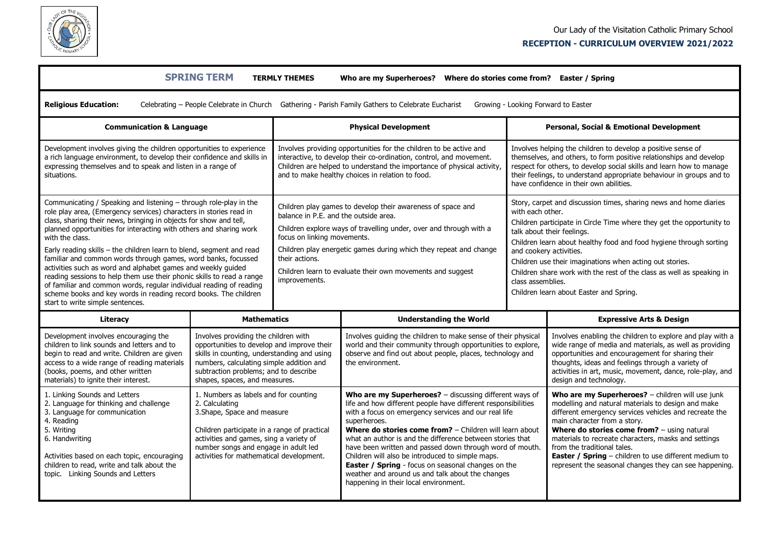

## **RECEPTION - CURRICULUM OVERVIEW 2021/2022**

| <b>SPRING TERM</b><br><b>TERMLY THEMES</b><br>Who are my Superheroes? Where do stories come from? Easter / Spring                                                                                                                                                                                                                                                                                                                                                                                                                                                                                                                                                                                                                                                      |                                                                                                                                                                                                                                                                       |                                                                                                                                                                                                                                                                                                                                                                                 |                                                                                                                                                                                                                                                                                                                                                                                                                                                                                                                                                                                                   |                                                                                                                                                                                                                                                                                                                                                                                                                                                                                                    |                                                                                                                                                                                                                                                                                                                                                                                                                                                                      |  |  |  |
|------------------------------------------------------------------------------------------------------------------------------------------------------------------------------------------------------------------------------------------------------------------------------------------------------------------------------------------------------------------------------------------------------------------------------------------------------------------------------------------------------------------------------------------------------------------------------------------------------------------------------------------------------------------------------------------------------------------------------------------------------------------------|-----------------------------------------------------------------------------------------------------------------------------------------------------------------------------------------------------------------------------------------------------------------------|---------------------------------------------------------------------------------------------------------------------------------------------------------------------------------------------------------------------------------------------------------------------------------------------------------------------------------------------------------------------------------|---------------------------------------------------------------------------------------------------------------------------------------------------------------------------------------------------------------------------------------------------------------------------------------------------------------------------------------------------------------------------------------------------------------------------------------------------------------------------------------------------------------------------------------------------------------------------------------------------|----------------------------------------------------------------------------------------------------------------------------------------------------------------------------------------------------------------------------------------------------------------------------------------------------------------------------------------------------------------------------------------------------------------------------------------------------------------------------------------------------|----------------------------------------------------------------------------------------------------------------------------------------------------------------------------------------------------------------------------------------------------------------------------------------------------------------------------------------------------------------------------------------------------------------------------------------------------------------------|--|--|--|
| <b>Religious Education:</b><br>Celebrating - People Celebrate in Church Gathering - Parish Family Gathers to Celebrate Eucharist<br>Growing - Looking Forward to Easter                                                                                                                                                                                                                                                                                                                                                                                                                                                                                                                                                                                                |                                                                                                                                                                                                                                                                       |                                                                                                                                                                                                                                                                                                                                                                                 |                                                                                                                                                                                                                                                                                                                                                                                                                                                                                                                                                                                                   |                                                                                                                                                                                                                                                                                                                                                                                                                                                                                                    |                                                                                                                                                                                                                                                                                                                                                                                                                                                                      |  |  |  |
| <b>Communication &amp; Language</b>                                                                                                                                                                                                                                                                                                                                                                                                                                                                                                                                                                                                                                                                                                                                    |                                                                                                                                                                                                                                                                       |                                                                                                                                                                                                                                                                                                                                                                                 | <b>Physical Development</b>                                                                                                                                                                                                                                                                                                                                                                                                                                                                                                                                                                       |                                                                                                                                                                                                                                                                                                                                                                                                                                                                                                    | <b>Personal, Social &amp; Emotional Development</b>                                                                                                                                                                                                                                                                                                                                                                                                                  |  |  |  |
| Development involves giving the children opportunities to experience<br>a rich language environment, to develop their confidence and skills in<br>expressing themselves and to speak and listen in a range of<br>situations.                                                                                                                                                                                                                                                                                                                                                                                                                                                                                                                                           |                                                                                                                                                                                                                                                                       | Involves providing opportunities for the children to be active and<br>interactive, to develop their co-ordination, control, and movement.<br>Children are helped to understand the importance of physical activity,<br>and to make healthy choices in relation to food.                                                                                                         |                                                                                                                                                                                                                                                                                                                                                                                                                                                                                                                                                                                                   | Involves helping the children to develop a positive sense of<br>themselves, and others, to form positive relationships and develop<br>respect for others, to develop social skills and learn how to manage<br>their feelings, to understand appropriate behaviour in groups and to<br>have confidence in their own abilities.                                                                                                                                                                      |                                                                                                                                                                                                                                                                                                                                                                                                                                                                      |  |  |  |
| Communicating / Speaking and listening - through role-play in the<br>role play area, (Emergency services) characters in stories read in<br>class, sharing their news, bringing in objects for show and tell,<br>planned opportunities for interacting with others and sharing work<br>with the class.<br>Early reading skills - the children learn to blend, segment and read<br>familiar and common words through games, word banks, focussed<br>activities such as word and alphabet games and weekly guided<br>reading sessions to help them use their phonic skills to read a range<br>of familiar and common words, regular individual reading of reading<br>scheme books and key words in reading record books. The children<br>start to write simple sentences. |                                                                                                                                                                                                                                                                       | Children play games to develop their awareness of space and<br>balance in P.E. and the outside area.<br>Children explore ways of travelling under, over and through with a<br>focus on linking movements.<br>Children play energetic games during which they repeat and change<br>their actions.<br>Children learn to evaluate their own movements and suggest<br>improvements. |                                                                                                                                                                                                                                                                                                                                                                                                                                                                                                                                                                                                   | Story, carpet and discussion times, sharing news and home diaries<br>with each other.<br>Children participate in Circle Time where they get the opportunity to<br>talk about their feelings.<br>Children learn about healthy food and food hygiene through sorting<br>and cookery activities.<br>Children use their imaginations when acting out stories.<br>Children share work with the rest of the class as well as speaking in<br>class assemblies.<br>Children learn about Easter and Spring. |                                                                                                                                                                                                                                                                                                                                                                                                                                                                      |  |  |  |
| Literacy                                                                                                                                                                                                                                                                                                                                                                                                                                                                                                                                                                                                                                                                                                                                                               | <b>Mathematics</b>                                                                                                                                                                                                                                                    |                                                                                                                                                                                                                                                                                                                                                                                 | <b>Understanding the World</b>                                                                                                                                                                                                                                                                                                                                                                                                                                                                                                                                                                    |                                                                                                                                                                                                                                                                                                                                                                                                                                                                                                    | <b>Expressive Arts &amp; Design</b>                                                                                                                                                                                                                                                                                                                                                                                                                                  |  |  |  |
| Development involves encouraging the<br>children to link sounds and letters and to<br>begin to read and write. Children are given<br>access to a wide range of reading materials<br>(books, poems, and other written<br>materials) to ignite their interest.                                                                                                                                                                                                                                                                                                                                                                                                                                                                                                           | Involves providing the children with<br>opportunities to develop and improve their<br>skills in counting, understanding and using<br>numbers, calculating simple addition and<br>subtraction problems; and to describe<br>shapes, spaces, and measures.               |                                                                                                                                                                                                                                                                                                                                                                                 | Involves guiding the children to make sense of their physical<br>world and their community through opportunities to explore,<br>observe and find out about people, places, technology and<br>the environment.                                                                                                                                                                                                                                                                                                                                                                                     |                                                                                                                                                                                                                                                                                                                                                                                                                                                                                                    | Involves enabling the children to explore and play with a<br>wide range of media and materials, as well as providing<br>opportunities and encouragement for sharing their<br>thoughts, ideas and feelings through a variety of<br>activities in art, music, movement, dance, role-play, and<br>design and technology.                                                                                                                                                |  |  |  |
| 1. Linking Sounds and Letters<br>2. Language for thinking and challenge<br>3. Language for communication<br>4. Reading<br>5. Writing<br>6. Handwriting<br>Activities based on each topic, encouraging<br>children to read, write and talk about the<br>topic. Linking Sounds and Letters                                                                                                                                                                                                                                                                                                                                                                                                                                                                               | 1. Numbers as labels and for counting<br>2. Calculating<br>3. Shape, Space and measure<br>Children participate in a range of practical<br>activities and games, sing a variety of<br>number songs and engage in adult led<br>activities for mathematical development. |                                                                                                                                                                                                                                                                                                                                                                                 | Who are my Superheroes? - discussing different ways of<br>life and how different people have different responsibilities<br>with a focus on emergency services and our real life<br>superheroes.<br><b>Where do stories come from?</b> - Children will learn about<br>what an author is and the difference between stories that<br>have been written and passed down through word of mouth.<br>Children will also be introduced to simple maps.<br>Easter / Spring - focus on seasonal changes on the<br>weather and around us and talk about the changes<br>happening in their local environment. |                                                                                                                                                                                                                                                                                                                                                                                                                                                                                                    | Who are my Superheroes? - children will use junk<br>modelling and natural materials to design and make<br>different emergency services vehicles and recreate the<br>main character from a story.<br>Where do stories come from? $-$ using natural<br>materials to recreate characters, masks and settings<br>from the traditional tales.<br><b>Easter / Spring</b> $-$ children to use different medium to<br>represent the seasonal changes they can see happening. |  |  |  |